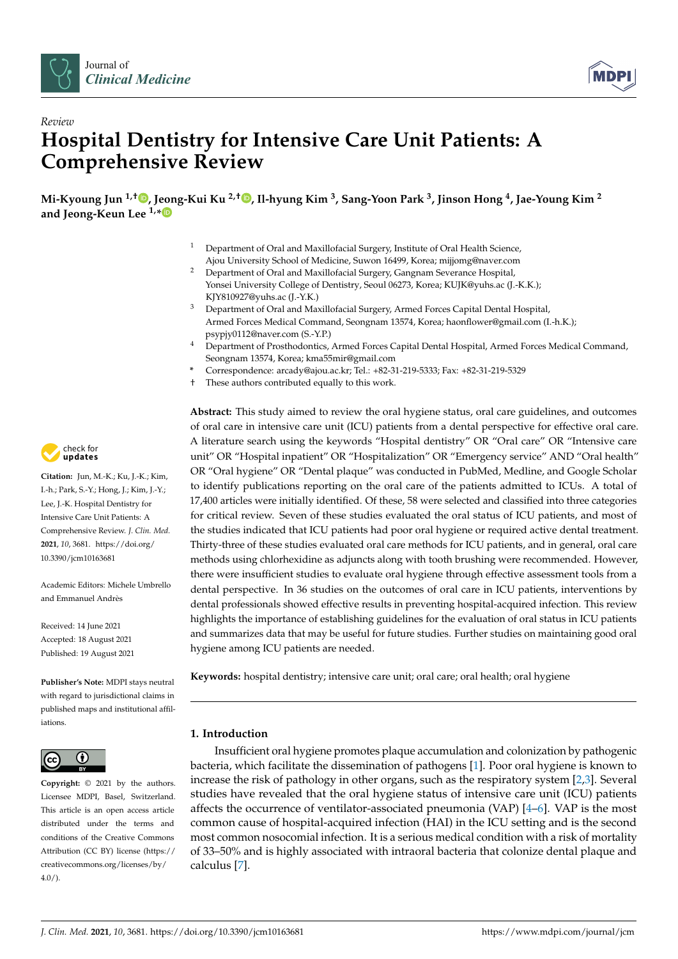



# *Review* **Hospital Dentistry for Intensive Care Unit Patients: A Comprehensive Review**

**Mi-Kyoung Jun 1,† [,](https://orcid.org/0000-0003-1813-9193) Jeong-Kui Ku 2,† [,](https://orcid.org/0000-0003-1192-7066) Il-hyung Kim <sup>3</sup> , Sang-Yoon Park <sup>3</sup> , Jinson Hong <sup>4</sup> , Jae-Young Kim <sup>2</sup> and Jeong-Keun Lee 1,[\\*](https://orcid.org/0000-0002-5561-6297)**

- <sup>1</sup> Department of Oral and Maxillofacial Surgery, Institute of Oral Health Science, Ajou University School of Medicine, Suwon 16499, Korea; mijjomg@naver.com
- <sup>2</sup> Department of Oral and Maxillofacial Surgery, Gangnam Severance Hospital, Yonsei University College of Dentistry, Seoul 06273, Korea; KUJK@yuhs.ac (J.-K.K.); KJY810927@yuhs.ac (J.-Y.K.)
- <sup>3</sup> Department of Oral and Maxillofacial Surgery, Armed Forces Capital Dental Hospital, Armed Forces Medical Command, Seongnam 13574, Korea; haonflower@gmail.com (I.-h.K.); psypjy0112@naver.com (S.-Y.P.)
- <sup>4</sup> Department of Prosthodontics, Armed Forces Capital Dental Hospital, Armed Forces Medical Command, Seongnam 13574, Korea; kma55mir@gmail.com
- **\*** Correspondence: arcady@ajou.ac.kr; Tel.: +82-31-219-5333; Fax: +82-31-219-5329
- † These authors contributed equally to this work.

**Abstract:** This study aimed to review the oral hygiene status, oral care guidelines, and outcomes of oral care in intensive care unit (ICU) patients from a dental perspective for effective oral care. A literature search using the keywords "Hospital dentistry" OR "Oral care" OR "Intensive care unit" OR "Hospital inpatient" OR "Hospitalization" OR "Emergency service" AND "Oral health" OR "Oral hygiene" OR "Dental plaque" was conducted in PubMed, Medline, and Google Scholar to identify publications reporting on the oral care of the patients admitted to ICUs. A total of 17,400 articles were initially identified. Of these, 58 were selected and classified into three categories for critical review. Seven of these studies evaluated the oral status of ICU patients, and most of the studies indicated that ICU patients had poor oral hygiene or required active dental treatment. Thirty-three of these studies evaluated oral care methods for ICU patients, and in general, oral care methods using chlorhexidine as adjuncts along with tooth brushing were recommended. However, there were insufficient studies to evaluate oral hygiene through effective assessment tools from a dental perspective. In 36 studies on the outcomes of oral care in ICU patients, interventions by dental professionals showed effective results in preventing hospital-acquired infection. This review highlights the importance of establishing guidelines for the evaluation of oral status in ICU patients and summarizes data that may be useful for future studies. Further studies on maintaining good oral hygiene among ICU patients are needed.

**Keywords:** hospital dentistry; intensive care unit; oral care; oral health; oral hygiene

# **1. Introduction**

Insufficient oral hygiene promotes plaque accumulation and colonization by pathogenic bacteria, which facilitate the dissemination of pathogens [\[1\]](#page-8-0). Poor oral hygiene is known to increase the risk of pathology in other organs, such as the respiratory system [\[2,](#page-8-1)[3\]](#page-9-0). Several studies have revealed that the oral hygiene status of intensive care unit (ICU) patients affects the occurrence of ventilator-associated pneumonia (VAP)  $[4-6]$  $[4-6]$ . VAP is the most common cause of hospital-acquired infection (HAI) in the ICU setting and is the second most common nosocomial infection. It is a serious medical condition with a risk of mortality of 33–50% and is highly associated with intraoral bacteria that colonize dental plaque and calculus [\[7\]](#page-9-3).



**Citation:** Jun, M.-K.; Ku, J.-K.; Kim, I.-h.; Park, S.-Y.; Hong, J.; Kim, J.-Y.; Lee, J.-K. Hospital Dentistry for Intensive Care Unit Patients: A Comprehensive Review. *J. Clin. Med.* **2021**, *10*, 3681. [https://doi.org/](https://doi.org/10.3390/jcm10163681) [10.3390/jcm10163681](https://doi.org/10.3390/jcm10163681)

Academic Editors: Michele Umbrello and Emmanuel Andrès

Received: 14 June 2021 Accepted: 18 August 2021 Published: 19 August 2021

**Publisher's Note:** MDPI stays neutral with regard to jurisdictional claims in published maps and institutional affiliations.



**Copyright:** © 2021 by the authors. Licensee MDPI, Basel, Switzerland. This article is an open access article distributed under the terms and conditions of the Creative Commons Attribution (CC BY) license (https:/[/](https://creativecommons.org/licenses/by/4.0/) [creativecommons.org/licenses/by/](https://creativecommons.org/licenses/by/4.0/)  $4.0/$ ).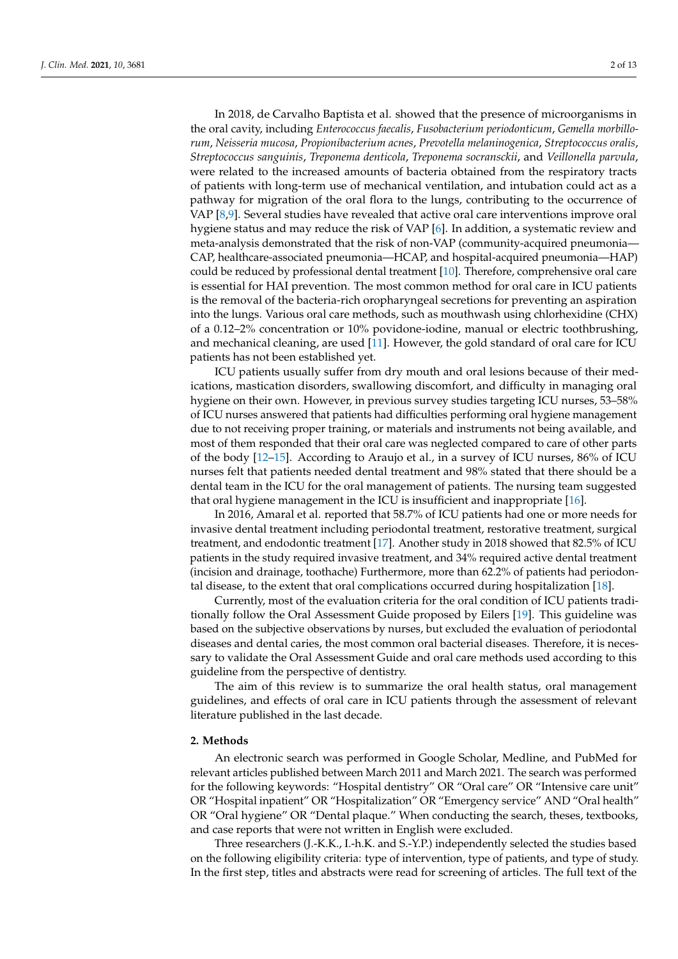In 2018, de Carvalho Baptista et al. showed that the presence of microorganisms in the oral cavity, including *Enterococcus faecalis*, *Fusobacterium periodonticum*, *Gemella morbillorum*, *Neisseria mucosa*, *Propionibacterium acnes*, *Prevotella melaninogenica*, *Streptococcus oralis*, *Streptococcus sanguinis*, *Treponema denticola*, *Treponema socransckii*, and *Veillonella parvula*, were related to the increased amounts of bacteria obtained from the respiratory tracts of patients with long-term use of mechanical ventilation, and intubation could act as a pathway for migration of the oral flora to the lungs, contributing to the occurrence of VAP [\[8,](#page-9-4)[9\]](#page-9-5). Several studies have revealed that active oral care interventions improve oral hygiene status and may reduce the risk of VAP [\[6\]](#page-9-2). In addition, a systematic review and meta-analysis demonstrated that the risk of non-VAP (community-acquired pneumonia— CAP, healthcare-associated pneumonia—HCAP, and hospital-acquired pneumonia—HAP) could be reduced by professional dental treatment [\[10\]](#page-9-6). Therefore, comprehensive oral care is essential for HAI prevention. The most common method for oral care in ICU patients is the removal of the bacteria-rich oropharyngeal secretions for preventing an aspiration into the lungs. Various oral care methods, such as mouthwash using chlorhexidine (CHX) of a 0.12–2% concentration or 10% povidone-iodine, manual or electric toothbrushing, and mechanical cleaning, are used [\[11\]](#page-9-7). However, the gold standard of oral care for ICU patients has not been established yet.

ICU patients usually suffer from dry mouth and oral lesions because of their medications, mastication disorders, swallowing discomfort, and difficulty in managing oral hygiene on their own. However, in previous survey studies targeting ICU nurses, 53–58% of ICU nurses answered that patients had difficulties performing oral hygiene management due to not receiving proper training, or materials and instruments not being available, and most of them responded that their oral care was neglected compared to care of other parts of the body [\[12–](#page-9-8)[15\]](#page-9-9). According to Araujo et al., in a survey of ICU nurses, 86% of ICU nurses felt that patients needed dental treatment and 98% stated that there should be a dental team in the ICU for the oral management of patients. The nursing team suggested that oral hygiene management in the ICU is insufficient and inappropriate [\[16\]](#page-9-10).

In 2016, Amaral et al. reported that 58.7% of ICU patients had one or more needs for invasive dental treatment including periodontal treatment, restorative treatment, surgical treatment, and endodontic treatment [\[17\]](#page-9-11). Another study in 2018 showed that 82.5% of ICU patients in the study required invasive treatment, and 34% required active dental treatment (incision and drainage, toothache) Furthermore, more than 62.2% of patients had periodontal disease, to the extent that oral complications occurred during hospitalization [\[18\]](#page-9-12).

Currently, most of the evaluation criteria for the oral condition of ICU patients traditionally follow the Oral Assessment Guide proposed by Eilers [\[19\]](#page-9-13). This guideline was based on the subjective observations by nurses, but excluded the evaluation of periodontal diseases and dental caries, the most common oral bacterial diseases. Therefore, it is necessary to validate the Oral Assessment Guide and oral care methods used according to this guideline from the perspective of dentistry.

The aim of this review is to summarize the oral health status, oral management guidelines, and effects of oral care in ICU patients through the assessment of relevant literature published in the last decade.

## **2. Methods**

An electronic search was performed in Google Scholar, Medline, and PubMed for relevant articles published between March 2011 and March 2021. The search was performed for the following keywords: "Hospital dentistry" OR "Oral care" OR "Intensive care unit" OR "Hospital inpatient" OR "Hospitalization" OR "Emergency service" AND "Oral health" OR "Oral hygiene" OR "Dental plaque." When conducting the search, theses, textbooks, and case reports that were not written in English were excluded.

Three researchers (J.-K.K., I.-h.K. and S.-Y.P.) independently selected the studies based on the following eligibility criteria: type of intervention, type of patients, and type of study. In the first step, titles and abstracts were read for screening of articles. The full text of the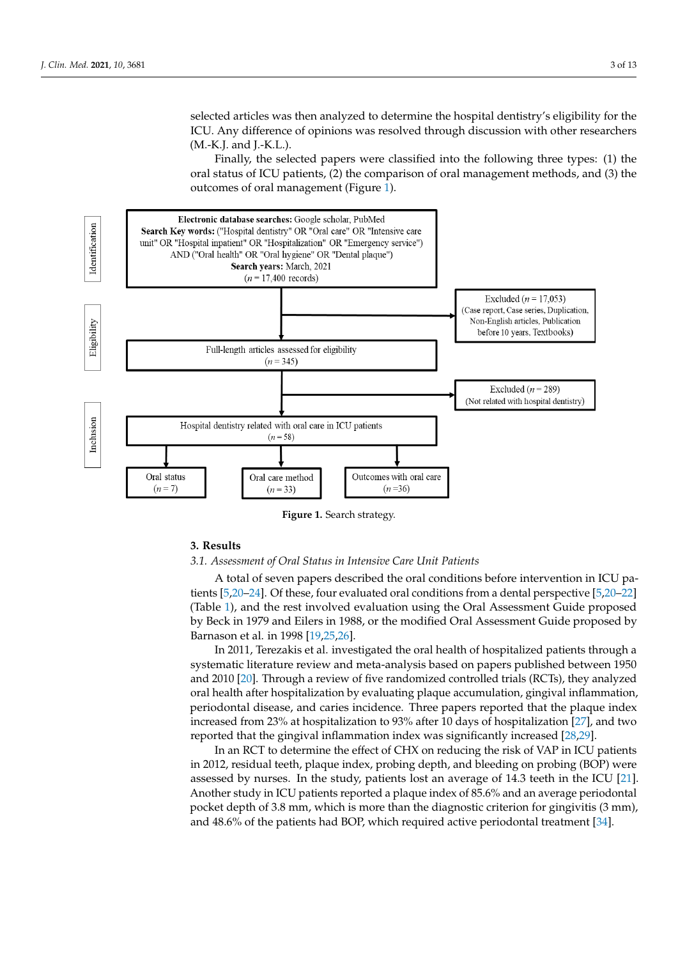selected articles was then analyzed to determine the hospital dentistry's eligibility for the ICU. Any difference of opinions was resolved through discussion with other researchers  $(M.-K.J.$  and J.-K.L.).

Finally, the selected papers were classified into the following three types: (1) the oral status of ICU patients, (2) the comparison of oral management methods, and (3) the outcomes of oral management (Figure [1\)](#page-2-0).

<span id="page-2-0"></span>

**Figure 1.** Search strategy. **Figure 1.** Search strategy.

# **3. Results 3. Results**

# *3.1. Assessment of Oral Status in Intensive Care Unit Patients 3.1. Assessment of Oral Status in Intensive Care Unit Patients*

A total of seven papers described the oral conditions before intervention in ICU pa-A total of seven papers described the oral conditions before intervention in ICU patients [\[5](#page-9-14)[,20](#page-9-15)–24]. Of these, four evaluated oral conditions from a dental perspecti[ve](#page-9-14) [\[5](#page-9-15),20– tients [5,20[–24\]](#page-9-16). Of these, four evaluated oral conditions from a dental perspective [5,20[–22\]](#page-9-17) 22] (T[ab](#page-3-0)le 1), and the rest involved evaluation using the Oral Assessment Guide proposed (Table 1), and the rest involved evaluation using the Oral Assessment Guide proposed by Beck in 1979 and Eilers in 1988, or the modified Oral Assessment Guide proposed by by Beck in 1979 and Eilers in 1988, or the modified Oral Assessment Guide proposed by Barnason et al. in 1998 [19,25,26].

systematic literature review and meta-analysis based on papers published between 1950 **Articles Index Index Index International controlled** *Index Index Index Index Index Propose and carios incidence. Three papers reported that the plaque index* reported that the gingival inflammation index was significantly increased [\[28,](#page-9-21)[29\]](#page-9-22). increased from 23% at hospitalization to 93% after 10 days of hospitalization [\[27\]](#page-9-20), and two In 2011, Terezakis et al. investigated the oral health of hospitalized patients through a and 2010 [\[20\]](#page-9-15). Through a review of five randomized controlled trials (RCTs), they analyzed periodontal disease, and caries incidence. Three papers reported that the plaque index

In an RCT to determine the effect of CHX on reducing the risk of VAP in ICU patients in 2012, residual teeth, plaque index, probing depth, and bleeding on probing (BOP) were<br>assessed by nurses. In the study, patients lest an average of 14.2 teeth in the ICU [21] assessed by nurses. In the study, patients lost an average of 14.3 teeth in the ICU [\[21\]](#page-9-23). Another study in ICU patients reported a plaque index of 85.6% and an average periodontal pocket depth of 3.8 mm, which is more than the diagnostic criterion for gingivitis (3 mm), and 48.6% of the patients had BOP, which required active periodontal treatment [\[34\]](#page-10-0).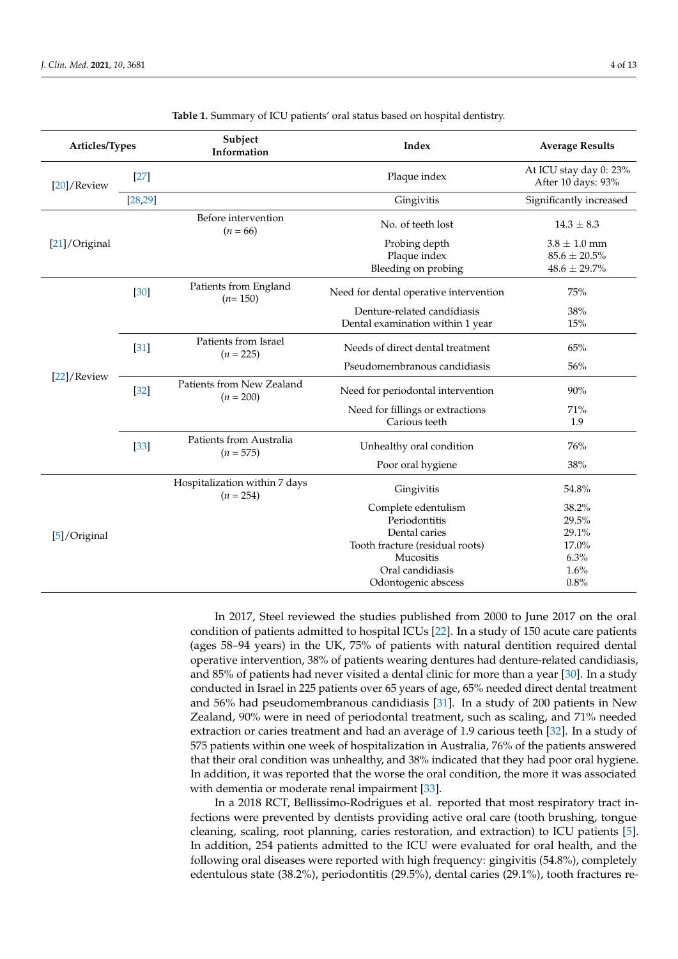<span id="page-3-0"></span>

| Articles/Types |          | Subject<br>Information                       | Index                                                           | <b>Average Results</b>                                     |  |
|----------------|----------|----------------------------------------------|-----------------------------------------------------------------|------------------------------------------------------------|--|
| [20]/Review    | $[27]$   |                                              | Plaque index                                                    | At ICU stay day 0: 23%<br>After 10 days: 93%               |  |
|                | [28, 29] |                                              | Gingivitis                                                      | Significantly increased                                    |  |
|                |          | Before intervention<br>$(n = 66)$            | No. of teeth lost                                               | $14.3 \pm 8.3$                                             |  |
| [21]/Original  |          |                                              | Probing depth<br>Plaque index<br>Bleeding on probing            | $3.8 \pm 1.0$ mm<br>$85.6 \pm 20.5\%$<br>$48.6 \pm 29.7\%$ |  |
|                | $[30]$   | Patients from England<br>$(n=150)$           | Need for dental operative intervention                          | 75%                                                        |  |
| [22]/Review    |          |                                              | Denture-related candidiasis<br>Dental examination within 1 year | 38%<br>15%                                                 |  |
|                | $[31]$   | Patients from Israel<br>$(n = 225)$          | Needs of direct dental treatment                                | 65%                                                        |  |
|                |          |                                              | Pseudomembranous candidiasis                                    | 56%                                                        |  |
|                | $[32]$   | Patients from New Zealand<br>$(n = 200)$     | Need for periodontal intervention                               | 90%                                                        |  |
|                |          |                                              | Need for fillings or extractions<br>Carious teeth               | 71%<br>1.9                                                 |  |
|                | $[33]$   | Patients from Australia<br>$(n = 575)$       | Unhealthy oral condition                                        | 76%                                                        |  |
|                |          |                                              | Poor oral hygiene                                               | 38%                                                        |  |
|                |          | Hospitalization within 7 days<br>$(n = 254)$ | Gingivitis                                                      | 54.8%                                                      |  |
| [5]/Original   |          |                                              | Complete edentulism                                             | 38.2%                                                      |  |
|                |          |                                              | Periodontitis                                                   | 29.5%                                                      |  |
|                |          |                                              | Dental caries                                                   | 29.1%                                                      |  |
|                |          |                                              | Tooth fracture (residual roots)                                 | 17.0%                                                      |  |
|                |          |                                              | Mucositis                                                       | 6.3%                                                       |  |
|                |          |                                              | Oral candidiasis                                                | 1.6%                                                       |  |
|                |          |                                              | Odontogenic abscess                                             | 0.8%                                                       |  |

| Table 1. Summary of ICU patients' oral status based on hospital dentistry. |  |  |  |  |  |  |
|----------------------------------------------------------------------------|--|--|--|--|--|--|
|----------------------------------------------------------------------------|--|--|--|--|--|--|

In 2017, Steel reviewed the studies published from 2000 to June 2017 on the oral condition of patients admitted to hospital ICUs [\[22\]](#page-9-17). In a study of 150 acute care patients (ages 58–94 years) in the UK, 75% of patients with natural dentition required dental operative intervention, 38% of patients wearing dentures had denture-related candidiasis, and 85% of patients had never visited a dental clinic for more than a year [\[30\]](#page-9-24). In a study conducted in Israel in 225 patients over 65 years of age, 65% needed direct dental treatment and 56% had pseudomembranous candidiasis [\[31\]](#page-10-1). In a study of 200 patients in New Zealand, 90% were in need of periodontal treatment, such as scaling, and 71% needed extraction or caries treatment and had an average of 1.9 carious teeth [\[32\]](#page-10-2). In a study of 575 patients within one week of hospitalization in Australia, 76% of the patients answered that their oral condition was unhealthy, and 38% indicated that they had poor oral hygiene. In addition, it was reported that the worse the oral condition, the more it was associated with dementia or moderate renal impairment [\[33\]](#page-10-3).

In a 2018 RCT, Bellissimo-Rodrigues et al. reported that most respiratory tract infections were prevented by dentists providing active oral care (tooth brushing, tongue cleaning, scaling, root planning, caries restoration, and extraction) to ICU patients [\[5\]](#page-9-14). In addition, 254 patients admitted to the ICU were evaluated for oral health, and the following oral diseases were reported with high frequency: gingivitis (54.8%), completely edentulous state (38.2%), periodontitis (29.5%), dental caries (29.1%), tooth fractures re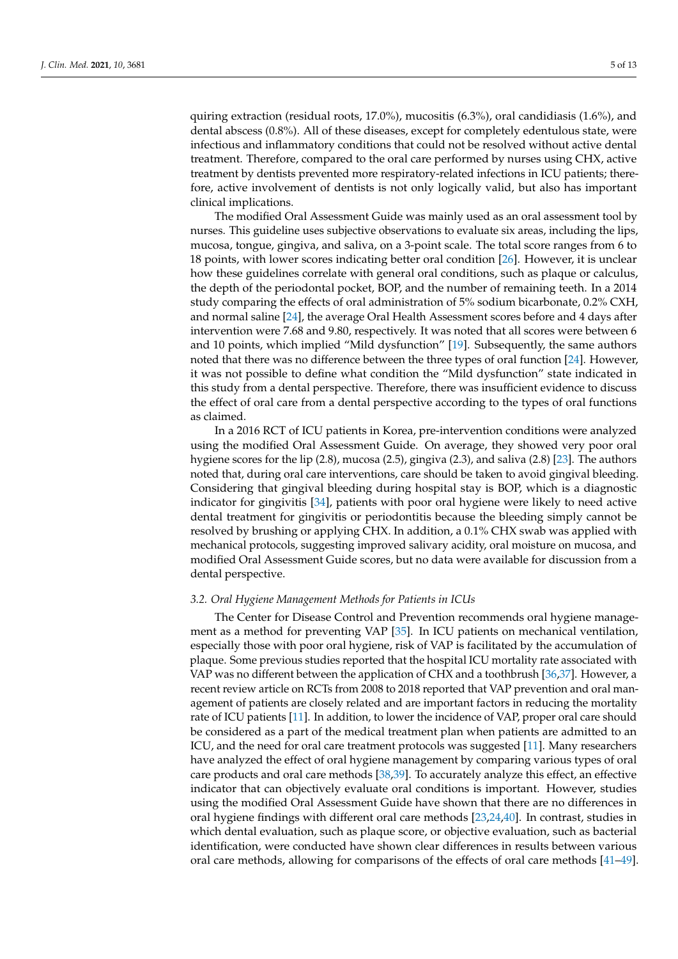quiring extraction (residual roots, 17.0%), mucositis (6.3%), oral candidiasis (1.6%), and dental abscess (0.8%). All of these diseases, except for completely edentulous state, were infectious and inflammatory conditions that could not be resolved without active dental treatment. Therefore, compared to the oral care performed by nurses using CHX, active treatment by dentists prevented more respiratory-related infections in ICU patients; therefore, active involvement of dentists is not only logically valid, but also has important clinical implications.

The modified Oral Assessment Guide was mainly used as an oral assessment tool by nurses. This guideline uses subjective observations to evaluate six areas, including the lips, mucosa, tongue, gingiva, and saliva, on a 3-point scale. The total score ranges from 6 to 18 points, with lower scores indicating better oral condition [\[26\]](#page-9-19). However, it is unclear how these guidelines correlate with general oral conditions, such as plaque or calculus, the depth of the periodontal pocket, BOP, and the number of remaining teeth. In a 2014 study comparing the effects of oral administration of 5% sodium bicarbonate, 0.2% CXH, and normal saline [\[24\]](#page-9-16), the average Oral Health Assessment scores before and 4 days after intervention were 7.68 and 9.80, respectively. It was noted that all scores were between 6 and 10 points, which implied "Mild dysfunction" [\[19\]](#page-9-13). Subsequently, the same authors noted that there was no difference between the three types of oral function [\[24\]](#page-9-16). However, it was not possible to define what condition the "Mild dysfunction" state indicated in this study from a dental perspective. Therefore, there was insufficient evidence to discuss the effect of oral care from a dental perspective according to the types of oral functions as claimed.

In a 2016 RCT of ICU patients in Korea, pre-intervention conditions were analyzed using the modified Oral Assessment Guide. On average, they showed very poor oral hygiene scores for the lip (2.8), mucosa (2.5), gingiva (2.3), and saliva (2.8) [\[23\]](#page-9-25). The authors noted that, during oral care interventions, care should be taken to avoid gingival bleeding. Considering that gingival bleeding during hospital stay is BOP, which is a diagnostic indicator for gingivitis [\[34\]](#page-10-0), patients with poor oral hygiene were likely to need active dental treatment for gingivitis or periodontitis because the bleeding simply cannot be resolved by brushing or applying CHX. In addition, a 0.1% CHX swab was applied with mechanical protocols, suggesting improved salivary acidity, oral moisture on mucosa, and modified Oral Assessment Guide scores, but no data were available for discussion from a dental perspective.

#### *3.2. Oral Hygiene Management Methods for Patients in ICUs*

The Center for Disease Control and Prevention recommends oral hygiene management as a method for preventing VAP [\[35\]](#page-10-4). In ICU patients on mechanical ventilation, especially those with poor oral hygiene, risk of VAP is facilitated by the accumulation of plaque. Some previous studies reported that the hospital ICU mortality rate associated with VAP was no different between the application of CHX and a toothbrush [\[36](#page-10-5)[,37\]](#page-10-6). However, a recent review article on RCTs from 2008 to 2018 reported that VAP prevention and oral management of patients are closely related and are important factors in reducing the mortality rate of ICU patients [\[11\]](#page-9-7). In addition, to lower the incidence of VAP, proper oral care should be considered as a part of the medical treatment plan when patients are admitted to an ICU, and the need for oral care treatment protocols was suggested [\[11\]](#page-9-7). Many researchers have analyzed the effect of oral hygiene management by comparing various types of oral care products and oral care methods [\[38,](#page-10-7)[39\]](#page-10-8). To accurately analyze this effect, an effective indicator that can objectively evaluate oral conditions is important. However, studies using the modified Oral Assessment Guide have shown that there are no differences in oral hygiene findings with different oral care methods [\[23](#page-9-25)[,24](#page-9-16)[,40\]](#page-10-9). In contrast, studies in which dental evaluation, such as plaque score, or objective evaluation, such as bacterial identification, were conducted have shown clear differences in results between various oral care methods, allowing for comparisons of the effects of oral care methods [\[41](#page-10-10)[–49\]](#page-10-11).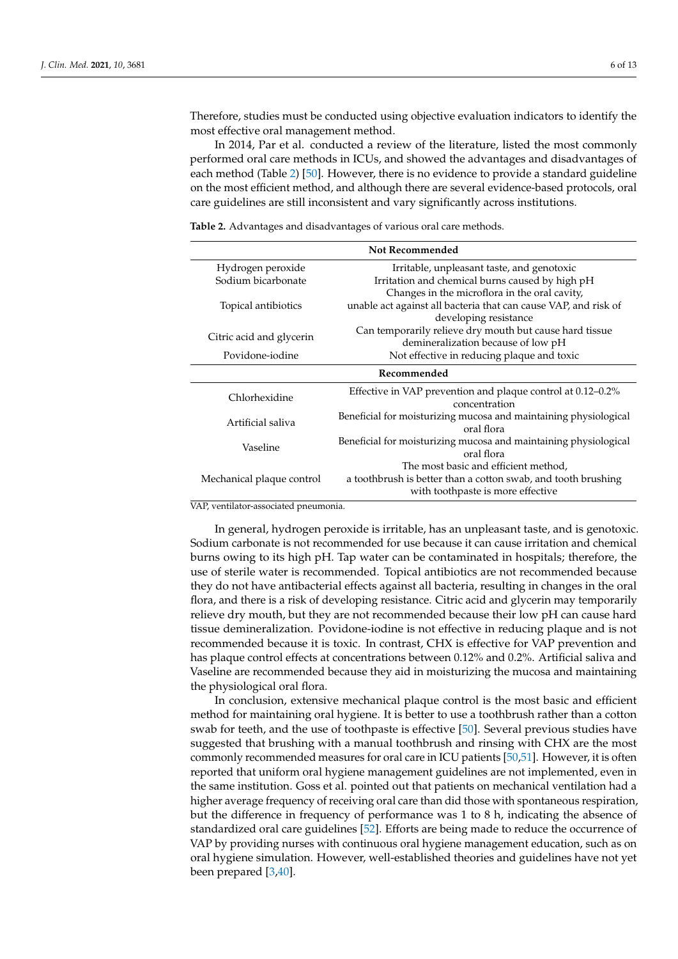Therefore, studies must be conducted using objective evaluation indicators to identify the most effective oral management method.

In 2014, Par et al. conducted a review of the literature, listed the most commonly performed oral care methods in ICUs, and showed the advantages and disadvantages of each method (Table [2\)](#page-5-0) [\[50\]](#page-10-12). However, there is no evidence to provide a standard guideline on the most efficient method, and although there are several evidence-based protocols, oral care guidelines are still inconsistent and vary significantly across institutions.

<span id="page-5-0"></span>**Table 2.** Advantages and disadvantages of various oral care methods.

| <b>Not Recommended</b>    |                                                                                |  |  |  |  |
|---------------------------|--------------------------------------------------------------------------------|--|--|--|--|
| Hydrogen peroxide         | Irritable, unpleasant taste, and genotoxic                                     |  |  |  |  |
| Sodium bicarbonate        | Irritation and chemical burns caused by high pH                                |  |  |  |  |
|                           | Changes in the microflora in the oral cavity,                                  |  |  |  |  |
| Topical antibiotics       | unable act against all bacteria that can cause VAP, and risk of                |  |  |  |  |
|                           | developing resistance                                                          |  |  |  |  |
| Citric acid and glycerin  | Can temporarily relieve dry mouth but cause hard tissue                        |  |  |  |  |
|                           | demineralization because of low pH                                             |  |  |  |  |
| Povidone-iodine           | Not effective in reducing plaque and toxic                                     |  |  |  |  |
| Recommended               |                                                                                |  |  |  |  |
| Chlorhexidine             | Effective in VAP prevention and plaque control at 0.12–0.2%                    |  |  |  |  |
|                           | concentration                                                                  |  |  |  |  |
| Artificial saliva         | Beneficial for moisturizing mucosa and maintaining physiological<br>oral flora |  |  |  |  |
| Vaseline                  | Beneficial for moisturizing mucosa and maintaining physiological               |  |  |  |  |
|                           | oral flora                                                                     |  |  |  |  |
|                           | The most basic and efficient method,                                           |  |  |  |  |
| Mechanical plaque control | a toothbrush is better than a cotton swab, and tooth brushing                  |  |  |  |  |
|                           | with toothpaste is more effective                                              |  |  |  |  |

VAP, ventilator-associated pneumonia.

In general, hydrogen peroxide is irritable, has an unpleasant taste, and is genotoxic. Sodium carbonate is not recommended for use because it can cause irritation and chemical burns owing to its high pH. Tap water can be contaminated in hospitals; therefore, the use of sterile water is recommended. Topical antibiotics are not recommended because they do not have antibacterial effects against all bacteria, resulting in changes in the oral flora, and there is a risk of developing resistance. Citric acid and glycerin may temporarily relieve dry mouth, but they are not recommended because their low pH can cause hard tissue demineralization. Povidone-iodine is not effective in reducing plaque and is not recommended because it is toxic. In contrast, CHX is effective for VAP prevention and has plaque control effects at concentrations between 0.12% and 0.2%. Artificial saliva and Vaseline are recommended because they aid in moisturizing the mucosa and maintaining the physiological oral flora.

In conclusion, extensive mechanical plaque control is the most basic and efficient method for maintaining oral hygiene. It is better to use a toothbrush rather than a cotton swab for teeth, and the use of toothpaste is effective [\[50\]](#page-10-12). Several previous studies have suggested that brushing with a manual toothbrush and rinsing with CHX are the most commonly recommended measures for oral care in ICU patients [\[50,](#page-10-12)[51\]](#page-10-13). However, it is often reported that uniform oral hygiene management guidelines are not implemented, even in the same institution. Goss et al. pointed out that patients on mechanical ventilation had a higher average frequency of receiving oral care than did those with spontaneous respiration, but the difference in frequency of performance was 1 to 8 h, indicating the absence of standardized oral care guidelines [\[52\]](#page-10-14). Efforts are being made to reduce the occurrence of VAP by providing nurses with continuous oral hygiene management education, such as on oral hygiene simulation. However, well-established theories and guidelines have not yet been prepared [\[3](#page-9-0)[,40\]](#page-10-9).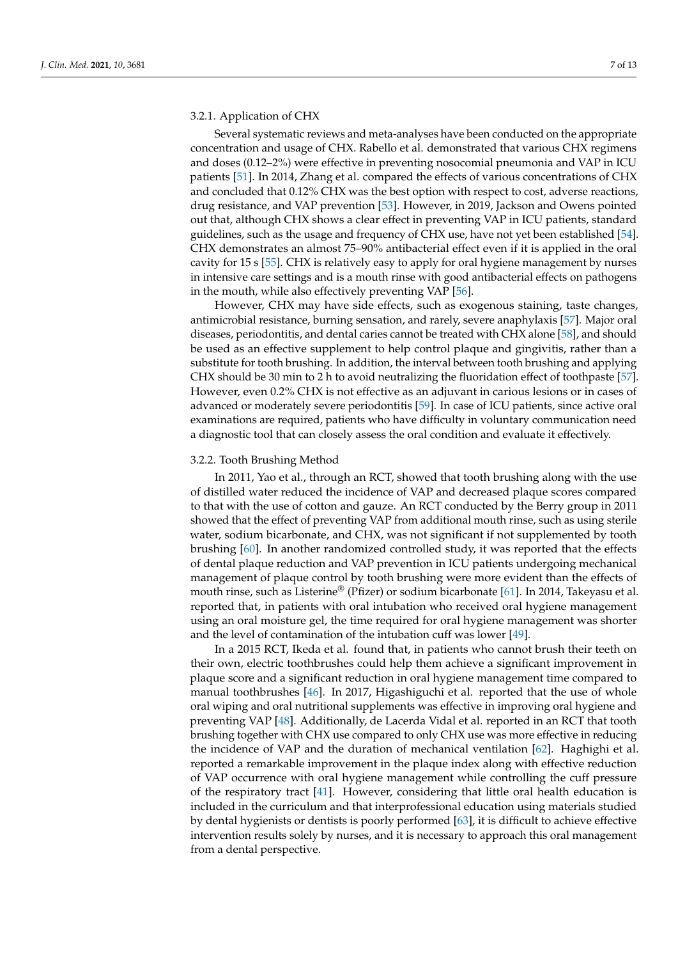# 3.2.1. Application of CHX

Several systematic reviews and meta-analyses have been conducted on the appropriate concentration and usage of CHX. Rabello et al. demonstrated that various CHX regimens and doses (0.12–2%) were effective in preventing nosocomial pneumonia and VAP in ICU patients [\[51\]](#page-10-13). In 2014, Zhang et al. compared the effects of various concentrations of CHX and concluded that 0.12% CHX was the best option with respect to cost, adverse reactions, drug resistance, and VAP prevention [\[53\]](#page-10-15). However, in 2019, Jackson and Owens pointed out that, although CHX shows a clear effect in preventing VAP in ICU patients, standard guidelines, such as the usage and frequency of CHX use, have not yet been established [\[54\]](#page-10-16). CHX demonstrates an almost 75–90% antibacterial effect even if it is applied in the oral cavity for 15 s [\[55\]](#page-10-17). CHX is relatively easy to apply for oral hygiene management by nurses in intensive care settings and is a mouth rinse with good antibacterial effects on pathogens in the mouth, while also effectively preventing VAP [\[56\]](#page-11-0).

However, CHX may have side effects, such as exogenous staining, taste changes, antimicrobial resistance, burning sensation, and rarely, severe anaphylaxis [\[57\]](#page-11-1). Major oral diseases, periodontitis, and dental caries cannot be treated with CHX alone [\[58\]](#page-11-2), and should be used as an effective supplement to help control plaque and gingivitis, rather than a substitute for tooth brushing. In addition, the interval between tooth brushing and applying CHX should be 30 min to 2 h to avoid neutralizing the fluoridation effect of toothpaste [\[57\]](#page-11-1). However, even 0.2% CHX is not effective as an adjuvant in carious lesions or in cases of advanced or moderately severe periodontitis [\[59\]](#page-11-3). In case of ICU patients, since active oral examinations are required, patients who have difficulty in voluntary communication need a diagnostic tool that can closely assess the oral condition and evaluate it effectively.

#### 3.2.2. Tooth Brushing Method

In 2011, Yao et al., through an RCT, showed that tooth brushing along with the use of distilled water reduced the incidence of VAP and decreased plaque scores compared to that with the use of cotton and gauze. An RCT conducted by the Berry group in 2011 showed that the effect of preventing VAP from additional mouth rinse, such as using sterile water, sodium bicarbonate, and CHX, was not significant if not supplemented by tooth brushing [\[60\]](#page-11-4). In another randomized controlled study, it was reported that the effects of dental plaque reduction and VAP prevention in ICU patients undergoing mechanical management of plaque control by tooth brushing were more evident than the effects of mouth rinse, such as Listerine<sup>®</sup> (Pfizer) or sodium bicarbonate [\[61\]](#page-11-5). In 2014, Takeyasu et al. reported that, in patients with oral intubation who received oral hygiene management using an oral moisture gel, the time required for oral hygiene management was shorter and the level of contamination of the intubation cuff was lower [\[49\]](#page-10-11).

In a 2015 RCT, Ikeda et al. found that, in patients who cannot brush their teeth on their own, electric toothbrushes could help them achieve a significant improvement in plaque score and a significant reduction in oral hygiene management time compared to manual toothbrushes [\[46\]](#page-10-18). In 2017, Higashiguchi et al. reported that the use of whole oral wiping and oral nutritional supplements was effective in improving oral hygiene and preventing VAP [\[48\]](#page-10-19). Additionally, de Lacerda Vidal et al. reported in an RCT that tooth brushing together with CHX use compared to only CHX use was more effective in reducing the incidence of VAP and the duration of mechanical ventilation [\[62\]](#page-11-6). Haghighi et al. reported a remarkable improvement in the plaque index along with effective reduction of VAP occurrence with oral hygiene management while controlling the cuff pressure of the respiratory tract [\[41\]](#page-10-10). However, considering that little oral health education is included in the curriculum and that interprofessional education using materials studied by dental hygienists or dentists is poorly performed [\[63\]](#page-11-7), it is difficult to achieve effective intervention results solely by nurses, and it is necessary to approach this oral management from a dental perspective.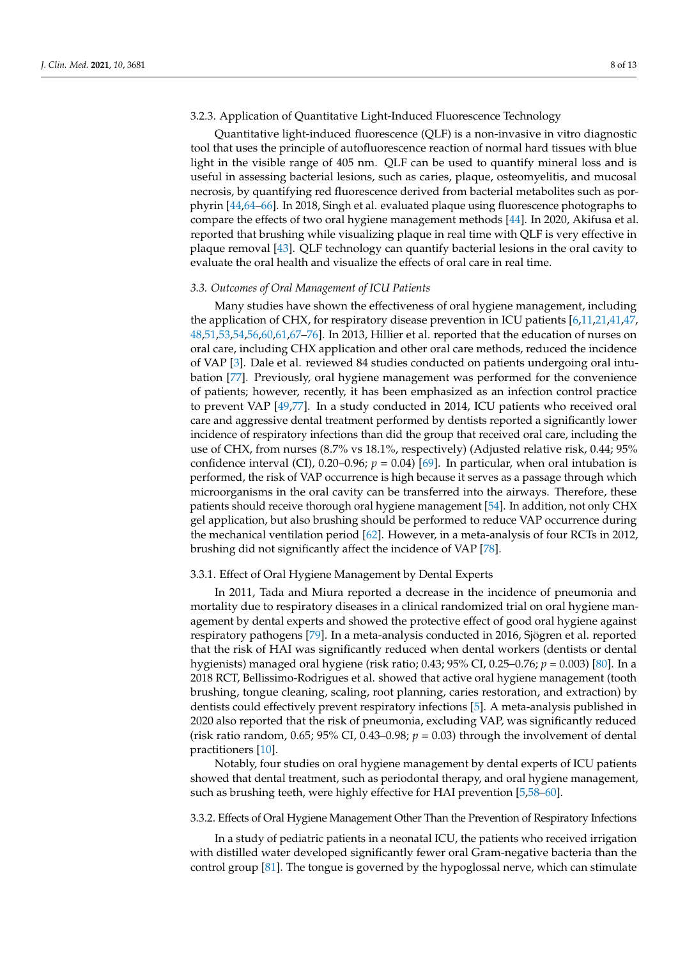# 3.2.3. Application of Quantitative Light-Induced Fluorescence Technology

Quantitative light-induced fluorescence (QLF) is a non-invasive in vitro diagnostic tool that uses the principle of autofluorescence reaction of normal hard tissues with blue light in the visible range of 405 nm. QLF can be used to quantify mineral loss and is useful in assessing bacterial lesions, such as caries, plaque, osteomyelitis, and mucosal necrosis, by quantifying red fluorescence derived from bacterial metabolites such as porphyrin [\[44](#page-10-20)[,64](#page-11-8)[–66\]](#page-11-9). In 2018, Singh et al. evaluated plaque using fluorescence photographs to compare the effects of two oral hygiene management methods [\[44\]](#page-10-20). In 2020, Akifusa et al. reported that brushing while visualizing plaque in real time with QLF is very effective in plaque removal [\[43\]](#page-10-21). QLF technology can quantify bacterial lesions in the oral cavity to evaluate the oral health and visualize the effects of oral care in real time.

#### *3.3. Outcomes of Oral Management of ICU Patients*

Many studies have shown the effectiveness of oral hygiene management, including the application of CHX, for respiratory disease prevention in ICU patients [\[6,](#page-9-2)[11,](#page-9-7)[21,](#page-9-23)[41](#page-10-10)[,47,](#page-10-22) [48,](#page-10-19)[51,](#page-10-13)[53,](#page-10-15)[54,](#page-10-16)[56,](#page-11-0)[60,](#page-11-4)[61,](#page-11-5)[67–](#page-11-10)[76\]](#page-11-11). In 2013, Hillier et al. reported that the education of nurses on oral care, including CHX application and other oral care methods, reduced the incidence of VAP [\[3\]](#page-9-0). Dale et al. reviewed 84 studies conducted on patients undergoing oral intubation [\[77\]](#page-11-12). Previously, oral hygiene management was performed for the convenience of patients; however, recently, it has been emphasized as an infection control practice to prevent VAP [\[49,](#page-10-11)[77\]](#page-11-12). In a study conducted in 2014, ICU patients who received oral care and aggressive dental treatment performed by dentists reported a significantly lower incidence of respiratory infections than did the group that received oral care, including the use of CHX, from nurses (8.7% vs 18.1%, respectively) (Adjusted relative risk, 0.44; 95% confidence interval (CI),  $0.20-0.96$ ;  $p = 0.04$ ) [\[69\]](#page-11-13). In particular, when oral intubation is performed, the risk of VAP occurrence is high because it serves as a passage through which microorganisms in the oral cavity can be transferred into the airways. Therefore, these patients should receive thorough oral hygiene management [\[54\]](#page-10-16). In addition, not only CHX gel application, but also brushing should be performed to reduce VAP occurrence during the mechanical ventilation period [\[62\]](#page-11-6). However, in a meta-analysis of four RCTs in 2012, brushing did not significantly affect the incidence of VAP [\[78\]](#page-11-14).

#### 3.3.1. Effect of Oral Hygiene Management by Dental Experts

In 2011, Tada and Miura reported a decrease in the incidence of pneumonia and mortality due to respiratory diseases in a clinical randomized trial on oral hygiene management by dental experts and showed the protective effect of good oral hygiene against respiratory pathogens [\[79\]](#page-11-15). In a meta-analysis conducted in 2016, Sjögren et al. reported that the risk of HAI was significantly reduced when dental workers (dentists or dental hygienists) managed oral hygiene (risk ratio; 0.43; 95% CI, 0.25–0.76; *p* = 0.003) [\[80\]](#page-11-16). In a 2018 RCT, Bellissimo-Rodrigues et al. showed that active oral hygiene management (tooth brushing, tongue cleaning, scaling, root planning, caries restoration, and extraction) by dentists could effectively prevent respiratory infections [\[5\]](#page-9-14). A meta-analysis published in 2020 also reported that the risk of pneumonia, excluding VAP, was significantly reduced (risk ratio random, 0.65; 95% CI, 0.43–0.98;  $p = 0.03$ ) through the involvement of dental practitioners [\[10\]](#page-9-6).

Notably, four studies on oral hygiene management by dental experts of ICU patients showed that dental treatment, such as periodontal therapy, and oral hygiene management, such as brushing teeth, were highly effective for HAI prevention [\[5](#page-9-14)[,58–](#page-11-2)[60\]](#page-11-4).

## 3.3.2. Effects of Oral Hygiene Management Other Than the Prevention of Respiratory Infections

In a study of pediatric patients in a neonatal ICU, the patients who received irrigation with distilled water developed significantly fewer oral Gram-negative bacteria than the control group [\[81\]](#page-11-17). The tongue is governed by the hypoglossal nerve, which can stimulate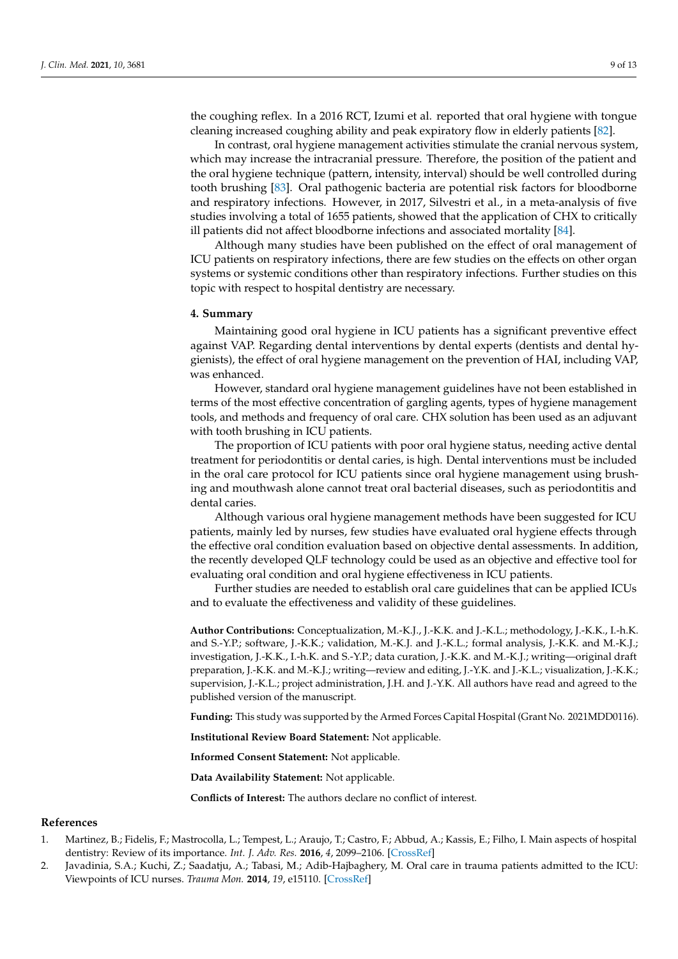the coughing reflex. In a 2016 RCT, Izumi et al. reported that oral hygiene with tongue cleaning increased coughing ability and peak expiratory flow in elderly patients [\[82\]](#page-11-18).

In contrast, oral hygiene management activities stimulate the cranial nervous system, which may increase the intracranial pressure. Therefore, the position of the patient and the oral hygiene technique (pattern, intensity, interval) should be well controlled during tooth brushing [\[83\]](#page-12-0). Oral pathogenic bacteria are potential risk factors for bloodborne and respiratory infections. However, in 2017, Silvestri et al., in a meta-analysis of five studies involving a total of 1655 patients, showed that the application of CHX to critically ill patients did not affect bloodborne infections and associated mortality [\[84\]](#page-12-1).

Although many studies have been published on the effect of oral management of ICU patients on respiratory infections, there are few studies on the effects on other organ systems or systemic conditions other than respiratory infections. Further studies on this topic with respect to hospital dentistry are necessary.

#### **4. Summary**

Maintaining good oral hygiene in ICU patients has a significant preventive effect against VAP. Regarding dental interventions by dental experts (dentists and dental hygienists), the effect of oral hygiene management on the prevention of HAI, including VAP, was enhanced.

However, standard oral hygiene management guidelines have not been established in terms of the most effective concentration of gargling agents, types of hygiene management tools, and methods and frequency of oral care. CHX solution has been used as an adjuvant with tooth brushing in ICU patients.

The proportion of ICU patients with poor oral hygiene status, needing active dental treatment for periodontitis or dental caries, is high. Dental interventions must be included in the oral care protocol for ICU patients since oral hygiene management using brushing and mouthwash alone cannot treat oral bacterial diseases, such as periodontitis and dental caries.

Although various oral hygiene management methods have been suggested for ICU patients, mainly led by nurses, few studies have evaluated oral hygiene effects through the effective oral condition evaluation based on objective dental assessments. In addition, the recently developed QLF technology could be used as an objective and effective tool for evaluating oral condition and oral hygiene effectiveness in ICU patients.

Further studies are needed to establish oral care guidelines that can be applied ICUs and to evaluate the effectiveness and validity of these guidelines.

**Author Contributions:** Conceptualization, M.-K.J., J.-K.K. and J.-K.L.; methodology, J.-K.K., I.-h.K. and S.-Y.P.; software, J.-K.K.; validation, M.-K.J. and J.-K.L.; formal analysis, J.-K.K. and M.-K.J.; investigation, J.-K.K., I.-h.K. and S.-Y.P.; data curation, J.-K.K. and M.-K.J.; writing—original draft preparation, J.-K.K. and M.-K.J.; writing—review and editing, J.-Y.K. and J.-K.L.; visualization, J.-K.K.; supervision, J.-K.L.; project administration, J.H. and J.-Y.K. All authors have read and agreed to the published version of the manuscript.

**Funding:** This study was supported by the Armed Forces Capital Hospital (Grant No. 2021MDD0116).

**Institutional Review Board Statement:** Not applicable.

**Informed Consent Statement:** Not applicable.

**Data Availability Statement:** Not applicable.

**Conflicts of Interest:** The authors declare no conflict of interest.

#### **References**

- <span id="page-8-0"></span>1. Martinez, B.; Fidelis, F.; Mastrocolla, L.; Tempest, L.; Araujo, T.; Castro, F.; Abbud, A.; Kassis, E.; Filho, I. Main aspects of hospital dentistry: Review of its importance. *Int. J. Adv. Res.* **2016**, *4*, 2099–2106. [\[CrossRef\]](http://doi.org/10.21474/IJAR01/2026)
- <span id="page-8-1"></span>2. Javadinia, S.A.; Kuchi, Z.; Saadatju, A.; Tabasi, M.; Adib-Hajbaghery, M. Oral care in trauma patients admitted to the ICU: Viewpoints of ICU nurses. *Trauma Mon.* **2014**, *19*, e15110. [\[CrossRef\]](http://doi.org/10.5812/traumamon.15110)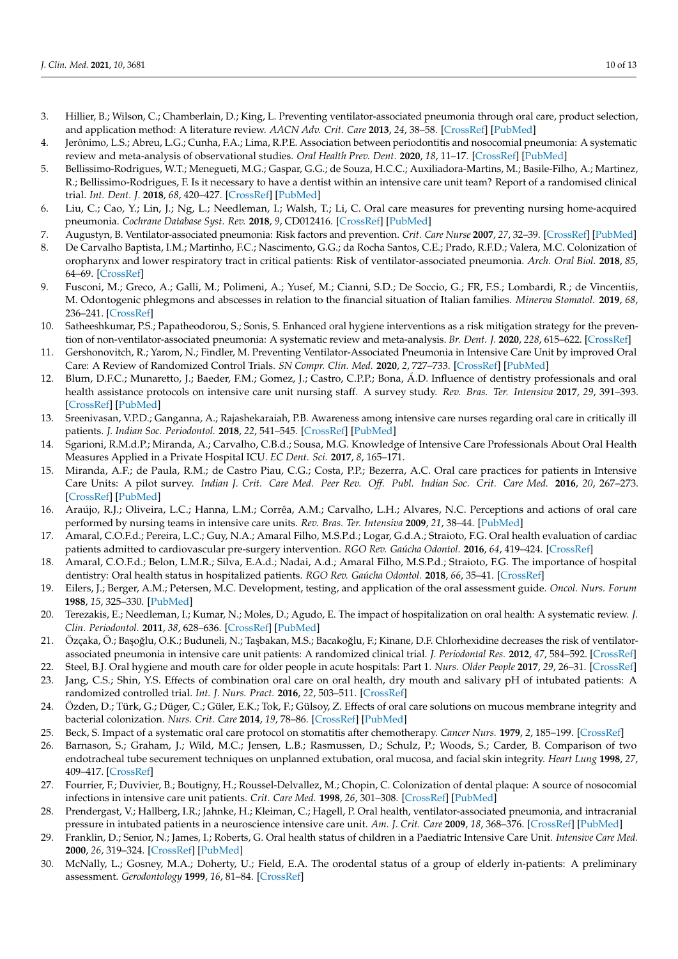- <span id="page-9-0"></span>3. Hillier, B.; Wilson, C.; Chamberlain, D.; King, L. Preventing ventilator-associated pneumonia through oral care, product selection, and application method: A literature review. *AACN Adv. Crit. Care* **2013**, *24*, 38–58. [\[CrossRef\]](http://doi.org/10.4037/NCI.0b013e31827df8ad) [\[PubMed\]](http://www.ncbi.nlm.nih.gov/pubmed/23343813)
- <span id="page-9-1"></span>4. Jerônimo, L.S.; Abreu, L.G.; Cunha, F.A.; Lima, R.P.E. Association between periodontitis and nosocomial pneumonia: A systematic review and meta-analysis of observational studies. *Oral Health Prev. Dent.* **2020**, *18*, 11–17. [\[CrossRef\]](http://doi.org/10.3290/j.ohpd.a44114) [\[PubMed\]](http://www.ncbi.nlm.nih.gov/pubmed/32051966)
- <span id="page-9-14"></span>5. Bellissimo-Rodrigues, W.T.; Menegueti, M.G.; Gaspar, G.G.; de Souza, H.C.C.; Auxiliadora-Martins, M.; Basile-Filho, A.; Martinez, R.; Bellissimo-Rodrigues, F. Is it necessary to have a dentist within an intensive care unit team? Report of a randomised clinical trial. *Int. Dent. J.* **2018**, *68*, 420–427. [\[CrossRef\]](http://doi.org/10.1111/idj.12397) [\[PubMed\]](http://www.ncbi.nlm.nih.gov/pubmed/29777534)
- <span id="page-9-2"></span>6. Liu, C.; Cao, Y.; Lin, J.; Ng, L.; Needleman, I.; Walsh, T.; Li, C. Oral care measures for preventing nursing home-acquired pneumonia. *Cochrane Database Syst. Rev.* **2018**, *9*, CD012416. [\[CrossRef\]](http://doi.org/10.1002/14651858.CD012416.pub2) [\[PubMed\]](http://www.ncbi.nlm.nih.gov/pubmed/30264525)
- <span id="page-9-3"></span>7. Augustyn, B. Ventilator-associated pneumonia: Risk factors and prevention. *Crit. Care Nurse* **2007**, *27*, 32–39. [\[CrossRef\]](http://doi.org/10.4037/ccn2007.27.4.32) [\[PubMed\]](http://www.ncbi.nlm.nih.gov/pubmed/17671243)
- <span id="page-9-4"></span>8. De Carvalho Baptista, I.M.; Martinho, F.C.; Nascimento, G.G.; da Rocha Santos, C.E.; Prado, R.F.D.; Valera, M.C. Colonization of oropharynx and lower respiratory tract in critical patients: Risk of ventilator-associated pneumonia. *Arch. Oral Biol.* **2018**, *85*, 64–69. [\[CrossRef\]](http://doi.org/10.1016/j.archoralbio.2017.09.029)
- <span id="page-9-5"></span>9. Fusconi, M.; Greco, A.; Galli, M.; Polimeni, A.; Yusef, M.; Cianni, S.D.; De Soccio, G.; FR, F.S.; Lombardi, R.; de Vincentiis, M. Odontogenic phlegmons and abscesses in relation to the financial situation of Italian families. *Minerva Stomatol.* **2019**, *68*, 236–241. [\[CrossRef\]](http://doi.org/10.23736/S0026-4970.19.04276-6)
- <span id="page-9-6"></span>10. Satheeshkumar, P.S.; Papatheodorou, S.; Sonis, S. Enhanced oral hygiene interventions as a risk mitigation strategy for the prevention of non-ventilator-associated pneumonia: A systematic review and meta-analysis. *Br. Dent. J.* **2020**, *228*, 615–622. [\[CrossRef\]](http://doi.org/10.1038/s41415-020-1452-7)
- <span id="page-9-7"></span>11. Gershonovitch, R.; Yarom, N.; Findler, M. Preventing Ventilator-Associated Pneumonia in Intensive Care Unit by improved Oral Care: A Review of Randomized Control Trials. *SN Compr. Clin. Med.* **2020**, *2*, 727–733. [\[CrossRef\]](http://doi.org/10.1007/s42399-020-00319-8) [\[PubMed\]](http://www.ncbi.nlm.nih.gov/pubmed/32838136)
- <span id="page-9-8"></span>12. Blum, D.F.C.; Munaretto, J.; Baeder, F.M.; Gomez, J.; Castro, C.P.P.; Bona, Á.D. Influence of dentistry professionals and oral health assistance protocols on intensive care unit nursing staff. A survey study. *Rev. Bras. Ter. Intensiva* **2017**, *29*, 391–393. [\[CrossRef\]](http://doi.org/10.5935/0103-507X.20170049) [\[PubMed\]](http://www.ncbi.nlm.nih.gov/pubmed/29044309)
- 13. Sreenivasan, V.P.D.; Ganganna, A.; Rajashekaraiah, P.B. Awareness among intensive care nurses regarding oral care in critically ill patients. *J. Indian Soc. Periodontol.* **2018**, *22*, 541–545. [\[CrossRef\]](http://doi.org/10.4103/jisp.jisp_30_18) [\[PubMed\]](http://www.ncbi.nlm.nih.gov/pubmed/30631234)
- 14. Sgarioni, R.M.d.P.; Miranda, A.; Carvalho, C.B.d.; Sousa, M.G. Knowledge of Intensive Care Professionals About Oral Health Measures Applied in a Private Hospital ICU. *EC Dent. Sci.* **2017**, *8*, 165–171.
- <span id="page-9-9"></span>15. Miranda, A.F.; de Paula, R.M.; de Castro Piau, C.G.; Costa, P.P.; Bezerra, A.C. Oral care practices for patients in Intensive Care Units: A pilot survey. *Indian J. Crit. Care Med. Peer Rev. Off. Publ. Indian Soc. Crit. Care Med.* **2016**, *20*, 267–273. [\[CrossRef\]](http://doi.org/10.4103/0972-5229.182203) [\[PubMed\]](http://www.ncbi.nlm.nih.gov/pubmed/27275074)
- <span id="page-9-10"></span>16. Araújo, R.J.; Oliveira, L.C.; Hanna, L.M.; Corrêa, A.M.; Carvalho, L.H.; Alvares, N.C. Perceptions and actions of oral care performed by nursing teams in intensive care units. *Rev. Bras. Ter. Intensiva* **2009**, *21*, 38–44. [\[PubMed\]](http://www.ncbi.nlm.nih.gov/pubmed/25303127)
- <span id="page-9-11"></span>17. Amaral, C.O.F.d.; Pereira, L.C.; Guy, N.A.; Amaral Filho, M.S.P.d.; Logar, G.d.A.; Straioto, F.G. Oral health evaluation of cardiac patients admitted to cardiovascular pre-surgery intervention. *RGO Rev. Gaúcha Odontol.* **2016**, *64*, 419–424. [\[CrossRef\]](http://doi.org/10.1590/1981-863720160003000082979)
- <span id="page-9-12"></span>18. Amaral, C.O.F.d.; Belon, L.M.R.; Silva, E.A.d.; Nadai, A.d.; Amaral Filho, M.S.P.d.; Straioto, F.G. The importance of hospital dentistry: Oral health status in hospitalized patients. *RGO Rev. Gaúcha Odontol.* **2018**, *66*, 35–41. [\[CrossRef\]](http://doi.org/10.1590/1981-863720180001000053410)
- <span id="page-9-13"></span>19. Eilers, J.; Berger, A.M.; Petersen, M.C. Development, testing, and application of the oral assessment guide. *Oncol. Nurs. Forum* **1988**, *15*, 325–330. [\[PubMed\]](http://www.ncbi.nlm.nih.gov/pubmed/3287344)
- <span id="page-9-15"></span>20. Terezakis, E.; Needleman, I.; Kumar, N.; Moles, D.; Agudo, E. The impact of hospitalization on oral health: A systematic review. *J. Clin. Periodontol.* **2011**, *38*, 628–636. [\[CrossRef\]](http://doi.org/10.1111/j.1600-051X.2011.01727.x) [\[PubMed\]](http://www.ncbi.nlm.nih.gov/pubmed/21470276)
- <span id="page-9-23"></span>21. Özçaka, Ö.; Başoğlu, O.K.; Buduneli, N.; Taşbakan, M.S.; Bacakoğlu, F.; Kinane, D.F. Chlorhexidine decreases the risk of ventilatorassociated pneumonia in intensive care unit patients: A randomized clinical trial. *J. Periodontal Res.* **2012**, *47*, 584–592. [\[CrossRef\]](http://doi.org/10.1111/j.1600-0765.2012.01470.x)
- <span id="page-9-17"></span>22. Steel, B.J. Oral hygiene and mouth care for older people in acute hospitals: Part 1. *Nurs. Older People* **2017**, *29*, 26–31. [\[CrossRef\]](http://doi.org/10.7748/nop.2017.e947a)
- <span id="page-9-25"></span>23. Jang, C.S.; Shin, Y.S. Effects of combination oral care on oral health, dry mouth and salivary pH of intubated patients: A randomized controlled trial. *Int. J. Nurs. Pract.* **2016**, *22*, 503–511. [\[CrossRef\]](http://doi.org/10.1111/ijn.12460)
- <span id="page-9-16"></span>24. Özden, D.; Türk, G.; Düger, C.; Güler, E.K.; Tok, F.; Gülsoy, Z. Effects of oral care solutions on mucous membrane integrity and bacterial colonization. *Nurs. Crit. Care* **2014**, *19*, 78–86. [\[CrossRef\]](http://doi.org/10.1111/nicc.12057) [\[PubMed\]](http://www.ncbi.nlm.nih.gov/pubmed/24354738)
- <span id="page-9-18"></span>25. Beck, S. Impact of a systematic oral care protocol on stomatitis after chemotherapy. *Cancer Nurs.* **1979**, *2*, 185–199. [\[CrossRef\]](http://doi.org/10.1097/00002820-197906000-00002)
- <span id="page-9-19"></span>26. Barnason, S.; Graham, J.; Wild, M.C.; Jensen, L.B.; Rasmussen, D.; Schulz, P.; Woods, S.; Carder, B. Comparison of two endotracheal tube securement techniques on unplanned extubation, oral mucosa, and facial skin integrity. *Heart Lung* **1998**, *27*, 409–417. [\[CrossRef\]](http://doi.org/10.1016/S0147-9563(98)90087-5)
- <span id="page-9-20"></span>27. Fourrier, F.; Duvivier, B.; Boutigny, H.; Roussel-Delvallez, M.; Chopin, C. Colonization of dental plaque: A source of nosocomial infections in intensive care unit patients. *Crit. Care Med.* **1998**, *26*, 301–308. [\[CrossRef\]](http://doi.org/10.1097/00003246-199802000-00032) [\[PubMed\]](http://www.ncbi.nlm.nih.gov/pubmed/9468169)
- <span id="page-9-21"></span>28. Prendergast, V.; Hallberg, I.R.; Jahnke, H.; Kleiman, C.; Hagell, P. Oral health, ventilator-associated pneumonia, and intracranial pressure in intubated patients in a neuroscience intensive care unit. *Am. J. Crit. Care* **2009**, *18*, 368–376. [\[CrossRef\]](http://doi.org/10.4037/ajcc2009621) [\[PubMed\]](http://www.ncbi.nlm.nih.gov/pubmed/19556415)
- <span id="page-9-22"></span>29. Franklin, D.; Senior, N.; James, I.; Roberts, G. Oral health status of children in a Paediatric Intensive Care Unit. *Intensive Care Med.* **2000**, *26*, 319–324. [\[CrossRef\]](http://doi.org/10.1007/s001340051156) [\[PubMed\]](http://www.ncbi.nlm.nih.gov/pubmed/10823389)
- <span id="page-9-24"></span>30. McNally, L.; Gosney, M.A.; Doherty, U.; Field, E.A. The orodental status of a group of elderly in-patients: A preliminary assessment. *Gerodontology* **1999**, *16*, 81–84. [\[CrossRef\]](http://doi.org/10.1111/j.1741-2358.1999.00081.x)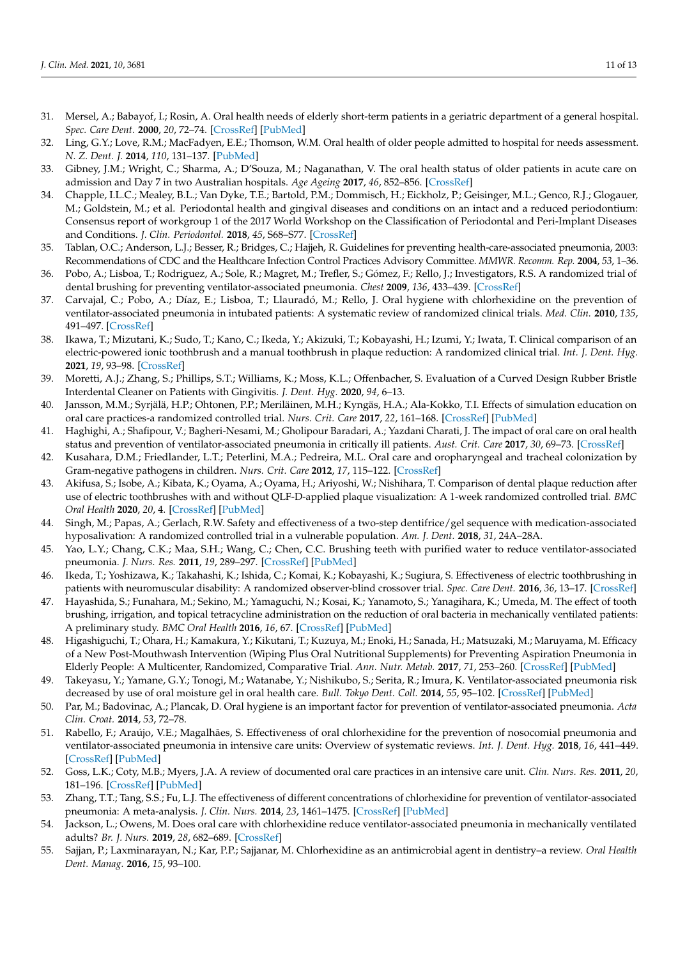- <span id="page-10-1"></span>31. Mersel, A.; Babayof, I.; Rosin, A. Oral health needs of elderly short-term patients in a geriatric department of a general hospital. *Spec. Care Dent.* **2000**, *20*, 72–74. [\[CrossRef\]](http://doi.org/10.1111/j.1754-4505.2000.tb01147.x) [\[PubMed\]](http://www.ncbi.nlm.nih.gov/pubmed/11203882)
- <span id="page-10-2"></span>32. Ling, G.Y.; Love, R.M.; MacFadyen, E.E.; Thomson, W.M. Oral health of older people admitted to hospital for needs assessment. *N. Z. Dent. J.* **2014**, *110*, 131–137. [\[PubMed\]](http://www.ncbi.nlm.nih.gov/pubmed/25597193)
- <span id="page-10-3"></span>33. Gibney, J.M.; Wright, C.; Sharma, A.; D'Souza, M.; Naganathan, V. The oral health status of older patients in acute care on admission and Day 7 in two Australian hospitals. *Age Ageing* **2017**, *46*, 852–856. [\[CrossRef\]](http://doi.org/10.1093/ageing/afx085)
- <span id="page-10-0"></span>34. Chapple, I.L.C.; Mealey, B.L.; Van Dyke, T.E.; Bartold, P.M.; Dommisch, H.; Eickholz, P.; Geisinger, M.L.; Genco, R.J.; Glogauer, M.; Goldstein, M.; et al. Periodontal health and gingival diseases and conditions on an intact and a reduced periodontium: Consensus report of workgroup 1 of the 2017 World Workshop on the Classification of Periodontal and Peri-Implant Diseases and Conditions. *J. Clin. Periodontol.* **2018**, *45*, S68–S77. [\[CrossRef\]](http://doi.org/10.1111/jcpe.12940)
- <span id="page-10-4"></span>35. Tablan, O.C.; Anderson, L.J.; Besser, R.; Bridges, C.; Hajjeh, R. Guidelines for preventing health-care-associated pneumonia, 2003: Recommendations of CDC and the Healthcare Infection Control Practices Advisory Committee. *MMWR. Recomm. Rep.* **2004**, *53*, 1–36.
- <span id="page-10-5"></span>36. Pobo, A.; Lisboa, T.; Rodriguez, A.; Sole, R.; Magret, M.; Trefler, S.; Gómez, F.; Rello, J.; Investigators, R.S. A randomized trial of dental brushing for preventing ventilator-associated pneumonia. *Chest* **2009**, *136*, 433–439. [\[CrossRef\]](http://doi.org/10.1378/chest.09-0706)
- <span id="page-10-6"></span>37. Carvajal, C.; Pobo, A.; Díaz, E.; Lisboa, T.; Llauradó, M.; Rello, J. Oral hygiene with chlorhexidine on the prevention of ventilator-associated pneumonia in intubated patients: A systematic review of randomized clinical trials. *Med. Clin.* **2010**, *135*, 491–497. [\[CrossRef\]](http://doi.org/10.1016/j.medcli.2010.02.039)
- <span id="page-10-7"></span>38. Ikawa, T.; Mizutani, K.; Sudo, T.; Kano, C.; Ikeda, Y.; Akizuki, T.; Kobayashi, H.; Izumi, Y.; Iwata, T. Clinical comparison of an electric-powered ionic toothbrush and a manual toothbrush in plaque reduction: A randomized clinical trial. *Int. J. Dent. Hyg.* **2021**, *19*, 93–98. [\[CrossRef\]](http://doi.org/10.1111/idh.12475)
- <span id="page-10-8"></span>39. Moretti, A.J.; Zhang, S.; Phillips, S.T.; Williams, K.; Moss, K.L.; Offenbacher, S. Evaluation of a Curved Design Rubber Bristle Interdental Cleaner on Patients with Gingivitis. *J. Dent. Hyg.* **2020**, *94*, 6–13.
- <span id="page-10-9"></span>40. Jansson, M.M.; Syrjälä, H.P.; Ohtonen, P.P.; Meriläinen, M.H.; Kyngäs, H.A.; Ala-Kokko, T.I. Effects of simulation education on oral care practices-a randomized controlled trial. *Nurs. Crit. Care* **2017**, *22*, 161–168. [\[CrossRef\]](http://doi.org/10.1111/nicc.12276) [\[PubMed\]](http://www.ncbi.nlm.nih.gov/pubmed/28093837)
- <span id="page-10-10"></span>41. Haghighi, A.; Shafipour, V.; Bagheri-Nesami, M.; Gholipour Baradari, A.; Yazdani Charati, J. The impact of oral care on oral health status and prevention of ventilator-associated pneumonia in critically ill patients. *Aust. Crit. Care* **2017**, *30*, 69–73. [\[CrossRef\]](http://doi.org/10.1016/j.aucc.2016.07.002)
- 42. Kusahara, D.M.; Friedlander, L.T.; Peterlini, M.A.; Pedreira, M.L. Oral care and oropharyngeal and tracheal colonization by Gram-negative pathogens in children. *Nurs. Crit. Care* **2012**, *17*, 115–122. [\[CrossRef\]](http://doi.org/10.1111/j.1478-5153.2012.00494.x)
- <span id="page-10-21"></span>43. Akifusa, S.; Isobe, A.; Kibata, K.; Oyama, A.; Oyama, H.; Ariyoshi, W.; Nishihara, T. Comparison of dental plaque reduction after use of electric toothbrushes with and without QLF-D-applied plaque visualization: A 1-week randomized controlled trial. *BMC Oral Health* **2020**, *20*, 4. [\[CrossRef\]](http://doi.org/10.1186/s12903-019-0982-3) [\[PubMed\]](http://www.ncbi.nlm.nih.gov/pubmed/32008572)
- <span id="page-10-20"></span>44. Singh, M.; Papas, A.; Gerlach, R.W. Safety and effectiveness of a two-step dentifrice/gel sequence with medication-associated hyposalivation: A randomized controlled trial in a vulnerable population. *Am. J. Dent.* **2018**, *31*, 24A–28A.
- 45. Yao, L.Y.; Chang, C.K.; Maa, S.H.; Wang, C.; Chen, C.C. Brushing teeth with purified water to reduce ventilator-associated pneumonia. *J. Nurs. Res.* **2011**, *19*, 289–297. [\[CrossRef\]](http://doi.org/10.1097/JNR.0b013e318236d05f) [\[PubMed\]](http://www.ncbi.nlm.nih.gov/pubmed/22089654)
- <span id="page-10-18"></span>46. Ikeda, T.; Yoshizawa, K.; Takahashi, K.; Ishida, C.; Komai, K.; Kobayashi, K.; Sugiura, S. Effectiveness of electric toothbrushing in patients with neuromuscular disability: A randomized observer-blind crossover trial. *Spec. Care Dent.* **2016**, *36*, 13–17. [\[CrossRef\]](http://doi.org/10.1111/scd.12141)
- <span id="page-10-22"></span>47. Hayashida, S.; Funahara, M.; Sekino, M.; Yamaguchi, N.; Kosai, K.; Yanamoto, S.; Yanagihara, K.; Umeda, M. The effect of tooth brushing, irrigation, and topical tetracycline administration on the reduction of oral bacteria in mechanically ventilated patients: A preliminary study. *BMC Oral Health* **2016**, *16*, 67. [\[CrossRef\]](http://doi.org/10.1186/s12903-016-0224-x) [\[PubMed\]](http://www.ncbi.nlm.nih.gov/pubmed/27268137)
- <span id="page-10-19"></span>48. Higashiguchi, T.; Ohara, H.; Kamakura, Y.; Kikutani, T.; Kuzuya, M.; Enoki, H.; Sanada, H.; Matsuzaki, M.; Maruyama, M. Efficacy of a New Post-Mouthwash Intervention (Wiping Plus Oral Nutritional Supplements) for Preventing Aspiration Pneumonia in Elderly People: A Multicenter, Randomized, Comparative Trial. *Ann. Nutr. Metab.* **2017**, *71*, 253–260. [\[CrossRef\]](http://doi.org/10.1159/000485044) [\[PubMed\]](http://www.ncbi.nlm.nih.gov/pubmed/29183037)
- <span id="page-10-11"></span>49. Takeyasu, Y.; Yamane, G.Y.; Tonogi, M.; Watanabe, Y.; Nishikubo, S.; Serita, R.; Imura, K. Ventilator-associated pneumonia risk decreased by use of oral moisture gel in oral health care. *Bull. Tokyo Dent. Coll.* **2014**, *55*, 95–102. [\[CrossRef\]](http://doi.org/10.2209/tdcpublication.55.95) [\[PubMed\]](http://www.ncbi.nlm.nih.gov/pubmed/24965954)
- <span id="page-10-12"></span>50. Par, M.; Badovinac, A.; Plancak, D. Oral hygiene is an important factor for prevention of ventilator-associated pneumonia. *Acta Clin. Croat.* **2014**, *53*, 72–78.
- <span id="page-10-13"></span>51. Rabello, F.; Araújo, V.E.; Magalhães, S. Effectiveness of oral chlorhexidine for the prevention of nosocomial pneumonia and ventilator-associated pneumonia in intensive care units: Overview of systematic reviews. *Int. J. Dent. Hyg.* **2018**, *16*, 441–449. [\[CrossRef\]](http://doi.org/10.1111/idh.12336) [\[PubMed\]](http://www.ncbi.nlm.nih.gov/pubmed/29473687)
- <span id="page-10-14"></span>52. Goss, L.K.; Coty, M.B.; Myers, J.A. A review of documented oral care practices in an intensive care unit. *Clin. Nurs. Res.* **2011**, *20*, 181–196. [\[CrossRef\]](http://doi.org/10.1177/1054773810392368) [\[PubMed\]](http://www.ncbi.nlm.nih.gov/pubmed/21191094)
- <span id="page-10-15"></span>53. Zhang, T.T.; Tang, S.S.; Fu, L.J. The effectiveness of different concentrations of chlorhexidine for prevention of ventilator-associated pneumonia: A meta-analysis. *J. Clin. Nurs.* **2014**, *23*, 1461–1475. [\[CrossRef\]](http://doi.org/10.1111/jocn.12312) [\[PubMed\]](http://www.ncbi.nlm.nih.gov/pubmed/23952970)
- <span id="page-10-16"></span>54. Jackson, L.; Owens, M. Does oral care with chlorhexidine reduce ventilator-associated pneumonia in mechanically ventilated adults? *Br. J. Nurs.* **2019**, *28*, 682–689. [\[CrossRef\]](http://doi.org/10.12968/bjon.2019.28.11.682)
- <span id="page-10-17"></span>55. Sajjan, P.; Laxminarayan, N.; Kar, P.P.; Sajjanar, M. Chlorhexidine as an antimicrobial agent in dentistry–a review. *Oral Health Dent. Manag.* **2016**, *15*, 93–100.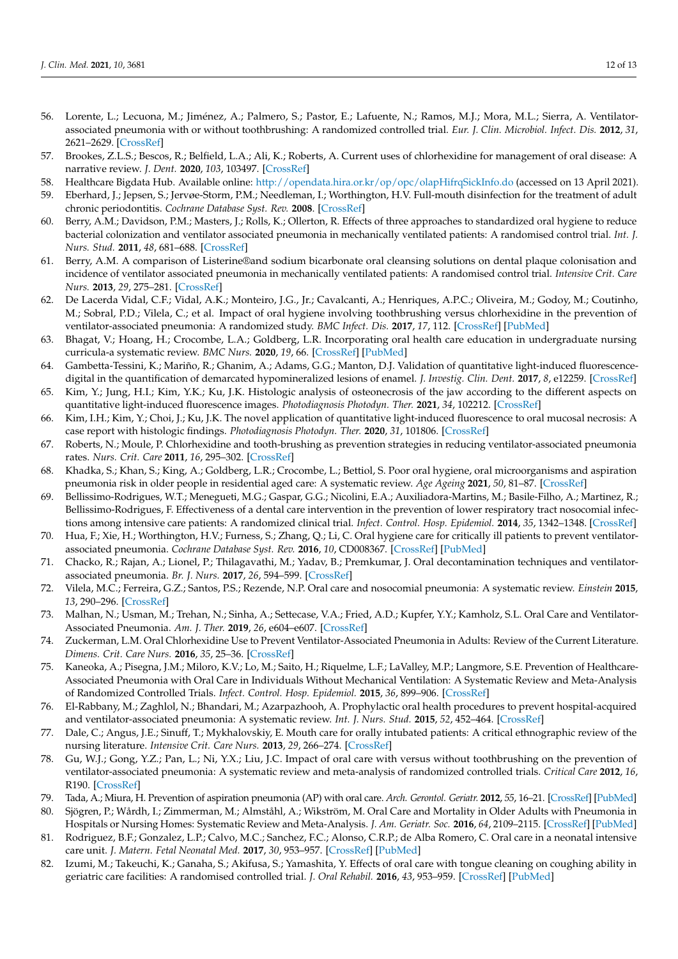- <span id="page-11-0"></span>56. Lorente, L.; Lecuona, M.; Jiménez, A.; Palmero, S.; Pastor, E.; Lafuente, N.; Ramos, M.J.; Mora, M.L.; Sierra, A. Ventilatorassociated pneumonia with or without toothbrushing: A randomized controlled trial. *Eur. J. Clin. Microbiol. Infect. Dis.* **2012**, *31*, 2621–2629. [\[CrossRef\]](http://doi.org/10.1007/s10096-012-1605-y)
- <span id="page-11-1"></span>57. Brookes, Z.L.S.; Bescos, R.; Belfield, L.A.; Ali, K.; Roberts, A. Current uses of chlorhexidine for management of oral disease: A narrative review. *J. Dent.* **2020**, *103*, 103497. [\[CrossRef\]](http://doi.org/10.1016/j.jdent.2020.103497)
- <span id="page-11-2"></span>58. Healthcare Bigdata Hub. Available online: <http://opendata.hira.or.kr/op/opc/olapHifrqSickInfo.do> (accessed on 13 April 2021).
- <span id="page-11-3"></span>59. Eberhard, J.; Jepsen, S.; Jervøe-Storm, P.M.; Needleman, I.; Worthington, H.V. Full-mouth disinfection for the treatment of adult chronic periodontitis. *Cochrane Database Syst. Rev.* **2008**. [\[CrossRef\]](http://doi.org/10.1002/14651858.CD004622.pub2)
- <span id="page-11-4"></span>60. Berry, A.M.; Davidson, P.M.; Masters, J.; Rolls, K.; Ollerton, R. Effects of three approaches to standardized oral hygiene to reduce bacterial colonization and ventilator associated pneumonia in mechanically ventilated patients: A randomised control trial. *Int. J. Nurs. Stud.* **2011**, *48*, 681–688. [\[CrossRef\]](http://doi.org/10.1016/j.ijnurstu.2010.11.004)
- <span id="page-11-5"></span>61. Berry, A.M. A comparison of Listerine®and sodium bicarbonate oral cleansing solutions on dental plaque colonisation and incidence of ventilator associated pneumonia in mechanically ventilated patients: A randomised control trial. *Intensive Crit. Care Nurs.* **2013**, *29*, 275–281. [\[CrossRef\]](http://doi.org/10.1016/j.iccn.2013.01.002)
- <span id="page-11-6"></span>62. De Lacerda Vidal, C.F.; Vidal, A.K.; Monteiro, J.G., Jr.; Cavalcanti, A.; Henriques, A.P.C.; Oliveira, M.; Godoy, M.; Coutinho, M.; Sobral, P.D.; Vilela, C.; et al. Impact of oral hygiene involving toothbrushing versus chlorhexidine in the prevention of ventilator-associated pneumonia: A randomized study. *BMC Infect. Dis.* **2017**, *17*, 112. [\[CrossRef\]](http://doi.org/10.1186/s12879-017-2188-0) [\[PubMed\]](http://www.ncbi.nlm.nih.gov/pubmed/28143414)
- <span id="page-11-7"></span>63. Bhagat, V.; Hoang, H.; Crocombe, L.A.; Goldberg, L.R. Incorporating oral health care education in undergraduate nursing curricula-a systematic review. *BMC Nurs.* **2020**, *19*, 66. [\[CrossRef\]](http://doi.org/10.1186/s12912-020-00454-6) [\[PubMed\]](http://www.ncbi.nlm.nih.gov/pubmed/32684840)
- <span id="page-11-8"></span>64. Gambetta-Tessini, K.; Mariño, R.; Ghanim, A.; Adams, G.G.; Manton, D.J. Validation of quantitative light-induced fluorescencedigital in the quantification of demarcated hypomineralized lesions of enamel. *J. Investig. Clin. Dent.* **2017**, *8*, e12259. [\[CrossRef\]](http://doi.org/10.1111/jicd.12259)
- 65. Kim, Y.; Jung, H.I.; Kim, Y.K.; Ku, J.K. Histologic analysis of osteonecrosis of the jaw according to the different aspects on quantitative light-induced fluorescence images. *Photodiagnosis Photodyn. Ther.* **2021**, *34*, 102212. [\[CrossRef\]](http://doi.org/10.1016/j.pdpdt.2021.102212)
- <span id="page-11-9"></span>66. Kim, I.H.; Kim, Y.; Choi, J.; Ku, J.K. The novel application of quantitative light-induced fluorescence to oral mucosal necrosis: A case report with histologic findings. *Photodiagnosis Photodyn. Ther.* **2020**, *31*, 101806. [\[CrossRef\]](http://doi.org/10.1016/j.pdpdt.2020.101806)
- <span id="page-11-10"></span>67. Roberts, N.; Moule, P. Chlorhexidine and tooth-brushing as prevention strategies in reducing ventilator-associated pneumonia rates. *Nurs. Crit. Care* **2011**, *16*, 295–302. [\[CrossRef\]](http://doi.org/10.1111/j.1478-5153.2011.00465.x)
- 68. Khadka, S.; Khan, S.; King, A.; Goldberg, L.R.; Crocombe, L.; Bettiol, S. Poor oral hygiene, oral microorganisms and aspiration pneumonia risk in older people in residential aged care: A systematic review. *Age Ageing* **2021**, *50*, 81–87. [\[CrossRef\]](http://doi.org/10.1093/ageing/afaa102)
- <span id="page-11-13"></span>69. Bellissimo-Rodrigues, W.T.; Menegueti, M.G.; Gaspar, G.G.; Nicolini, E.A.; Auxiliadora-Martins, M.; Basile-Filho, A.; Martinez, R.; Bellissimo-Rodrigues, F. Effectiveness of a dental care intervention in the prevention of lower respiratory tract nosocomial infections among intensive care patients: A randomized clinical trial. *Infect. Control. Hosp. Epidemiol.* **2014**, *35*, 1342–1348. [\[CrossRef\]](http://doi.org/10.1086/678427)
- 70. Hua, F.; Xie, H.; Worthington, H.V.; Furness, S.; Zhang, Q.; Li, C. Oral hygiene care for critically ill patients to prevent ventilatorassociated pneumonia. *Cochrane Database Syst. Rev.* **2016**, *10*, CD008367. [\[CrossRef\]](http://doi.org/10.1002/14651858.CD008367.pub3) [\[PubMed\]](http://www.ncbi.nlm.nih.gov/pubmed/27778318)
- 71. Chacko, R.; Rajan, A.; Lionel, P.; Thilagavathi, M.; Yadav, B.; Premkumar, J. Oral decontamination techniques and ventilatorassociated pneumonia. *Br. J. Nurs.* **2017**, *26*, 594–599. [\[CrossRef\]](http://doi.org/10.12968/bjon.2017.26.11.594)
- 72. Vilela, M.C.; Ferreira, G.Z.; Santos, P.S.; Rezende, N.P. Oral care and nosocomial pneumonia: A systematic review. *Einstein* **2015**, *13*, 290–296. [\[CrossRef\]](http://doi.org/10.1590/S1679-45082015RW2980)
- 73. Malhan, N.; Usman, M.; Trehan, N.; Sinha, A.; Settecase, V.A.; Fried, A.D.; Kupfer, Y.Y.; Kamholz, S.L. Oral Care and Ventilator-Associated Pneumonia. *Am. J. Ther.* **2019**, *26*, e604–e607. [\[CrossRef\]](http://doi.org/10.1097/MJT.0000000000000878)
- 74. Zuckerman, L.M. Oral Chlorhexidine Use to Prevent Ventilator-Associated Pneumonia in Adults: Review of the Current Literature. *Dimens. Crit. Care Nurs.* **2016**, *35*, 25–36. [\[CrossRef\]](http://doi.org/10.1097/DCC.0000000000000154)
- 75. Kaneoka, A.; Pisegna, J.M.; Miloro, K.V.; Lo, M.; Saito, H.; Riquelme, L.F.; LaValley, M.P.; Langmore, S.E. Prevention of Healthcare-Associated Pneumonia with Oral Care in Individuals Without Mechanical Ventilation: A Systematic Review and Meta-Analysis of Randomized Controlled Trials. *Infect. Control. Hosp. Epidemiol.* **2015**, *36*, 899–906. [\[CrossRef\]](http://doi.org/10.1017/ice.2015.77)
- <span id="page-11-11"></span>76. El-Rabbany, M.; Zaghlol, N.; Bhandari, M.; Azarpazhooh, A. Prophylactic oral health procedures to prevent hospital-acquired and ventilator-associated pneumonia: A systematic review. *Int. J. Nurs. Stud.* **2015**, *52*, 452–464. [\[CrossRef\]](http://doi.org/10.1016/j.ijnurstu.2014.07.010)
- <span id="page-11-12"></span>77. Dale, C.; Angus, J.E.; Sinuff, T.; Mykhalovskiy, E. Mouth care for orally intubated patients: A critical ethnographic review of the nursing literature. *Intensive Crit. Care Nurs.* **2013**, *29*, 266–274. [\[CrossRef\]](http://doi.org/10.1016/j.iccn.2012.09.003)
- <span id="page-11-14"></span>78. Gu, W.J.; Gong, Y.Z.; Pan, L.; Ni, Y.X.; Liu, J.C. Impact of oral care with versus without toothbrushing on the prevention of ventilator-associated pneumonia: A systematic review and meta-analysis of randomized controlled trials. *Critical Care* **2012**, *16*, R190. [\[CrossRef\]](http://doi.org/10.1186/cc11675)
- <span id="page-11-15"></span>79. Tada, A.; Miura, H. Prevention of aspiration pneumonia (AP) with oral care. *Arch. Gerontol. Geriatr.* **2012**, *55*, 16–21. [\[CrossRef\]](http://doi.org/10.1016/j.archger.2011.06.029) [\[PubMed\]](http://www.ncbi.nlm.nih.gov/pubmed/21764148)
- <span id="page-11-16"></span>80. Sjögren, P.; Wårdh, I.; Zimmerman, M.; Almståhl, A.; Wikström, M. Oral Care and Mortality in Older Adults with Pneumonia in Hospitals or Nursing Homes: Systematic Review and Meta-Analysis. *J. Am. Geriatr. Soc.* **2016**, *64*, 2109–2115. [\[CrossRef\]](http://doi.org/10.1111/jgs.14260) [\[PubMed\]](http://www.ncbi.nlm.nih.gov/pubmed/27590446)
- <span id="page-11-17"></span>81. Rodriguez, B.F.; Gonzalez, L.P.; Calvo, M.C.; Sanchez, F.C.; Alonso, C.R.P.; de Alba Romero, C. Oral care in a neonatal intensive care unit. *J. Matern. Fetal Neonatal Med.* **2017**, *30*, 953–957. [\[CrossRef\]](http://doi.org/10.1080/14767058.2016.1192599) [\[PubMed\]](http://www.ncbi.nlm.nih.gov/pubmed/27242010)
- <span id="page-11-18"></span>82. Izumi, M.; Takeuchi, K.; Ganaha, S.; Akifusa, S.; Yamashita, Y. Effects of oral care with tongue cleaning on coughing ability in geriatric care facilities: A randomised controlled trial. *J. Oral Rehabil.* **2016**, *43*, 953–959. [\[CrossRef\]](http://doi.org/10.1111/joor.12451) [\[PubMed\]](http://www.ncbi.nlm.nih.gov/pubmed/27748575)